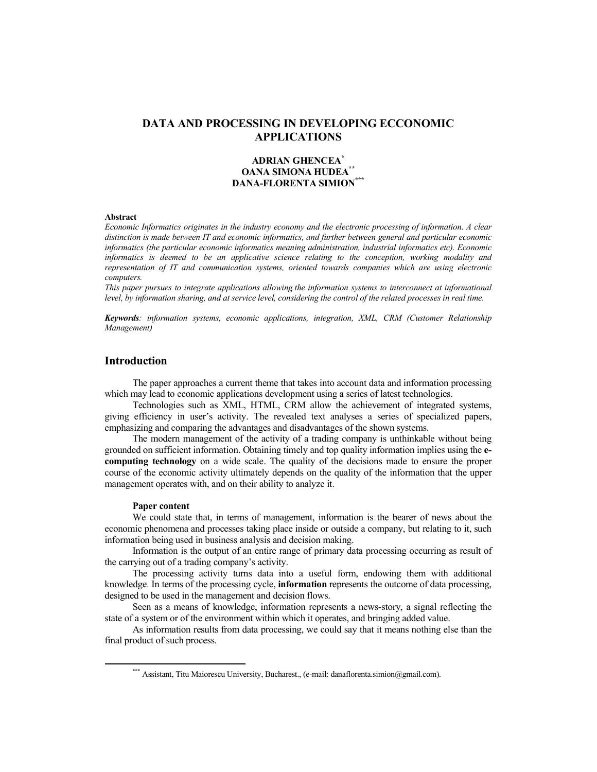# **DATA AND PROCESSING IN DEVELOPING ECCONOMIC APPLICATIONS**

# **ADRIAN GHENCEA\* OANA SIMONA HUDEA\*\* DANA-FLORENTA SIMION\*\*\***

#### **Abstract**

*Economic Informatics originates in the industry economy and the electronic processing of information. A clear distinction is made between IT and economic informatics, and further between general and particular economic informatics (the particular economic informatics meaning administration, industrial informatics etc). Economic informatics is deemed to be an applicative science relating to the conception, working modality and representation of IT and communication systems, oriented towards companies which are using electronic computers.* 

*This paper pursues to integrate applications allowing the information systems to interconnect at informational level, by information sharing, and at service level, considering the control of the related processes in real time.* 

*Keywords: information systems, economic applications, integration, XML, CRM (Customer Relationship Management)* 

# **Introduction**

The paper approaches a current theme that takes into account data and information processing which may lead to economic applications development using a series of latest technologies.

Technologies such as XML, HTML, CRM allow the achievement of integrated systems, giving efficiency in user's activity. The revealed text analyses a series of specialized papers, emphasizing and comparing the advantages and disadvantages of the shown systems.

The modern management of the activity of a trading company is unthinkable without being grounded on sufficient information. Obtaining timely and top quality information implies using the **ecomputing technology** on a wide scale. The quality of the decisions made to ensure the proper course of the economic activity ultimately depends on the quality of the information that the upper management operates with, and on their ability to analyze it.

#### **Paper content**

We could state that, in terms of management, information is the bearer of news about the economic phenomena and processes taking place inside or outside a company, but relating to it, such information being used in business analysis and decision making.

Information is the output of an entire range of primary data processing occurring as result of the carrying out of a trading company's activity.

The processing activity turns data into a useful form, endowing them with additional knowledge. In terms of the processing cycle, **information** represents the outcome of data processing, designed to be used in the management and decision flows.

Seen as a means of knowledge, information represents a news-story, a signal reflecting the state of a system or of the environment within which it operates, and bringing added value.

As information results from data processing, we could say that it means nothing else than the final product of such process.

<sup>\*\*\*</sup> Assistant, Titu Maiorescu University, Bucharest., (e-mail: danaflorenta.simion@gmail.com).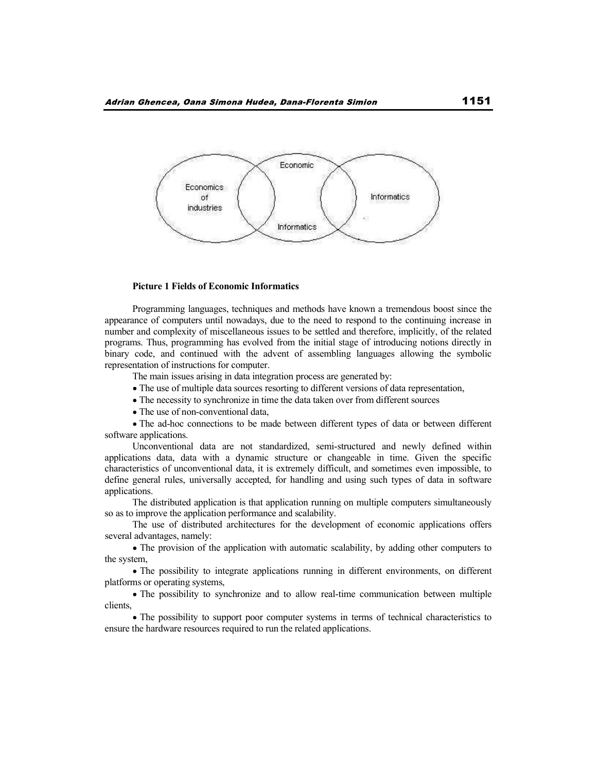

#### **Picture 1 Fields of Economic Informatics**

Programming languages, techniques and methods have known a tremendous boost since the appearance of computers until nowadays, due to the need to respond to the continuing increase in number and complexity of miscellaneous issues to be settled and therefore, implicitly, of the related programs. Thus, programming has evolved from the initial stage of introducing notions directly in binary code, and continued with the advent of assembling languages allowing the symbolic representation of instructions for computer.

The main issues arising in data integration process are generated by:

- The use of multiple data sources resorting to different versions of data representation,
- The necessity to synchronize in time the data taken over from different sources
- The use of non-conventional data,

The ad-hoc connections to be made between different types of data or between different software applications.

Unconventional data are not standardized, semi-structured and newly defined within applications data, data with a dynamic structure or changeable in time. Given the specific characteristics of unconventional data, it is extremely difficult, and sometimes even impossible, to define general rules, universally accepted, for handling and using such types of data in software applications.

The distributed application is that application running on multiple computers simultaneously so as to improve the application performance and scalability.

The use of distributed architectures for the development of economic applications offers several advantages, namely:

The provision of the application with automatic scalability, by adding other computers to the system,

The possibility to integrate applications running in different environments, on different platforms or operating systems,

The possibility to synchronize and to allow real-time communication between multiple clients,

The possibility to support poor computer systems in terms of technical characteristics to ensure the hardware resources required to run the related applications.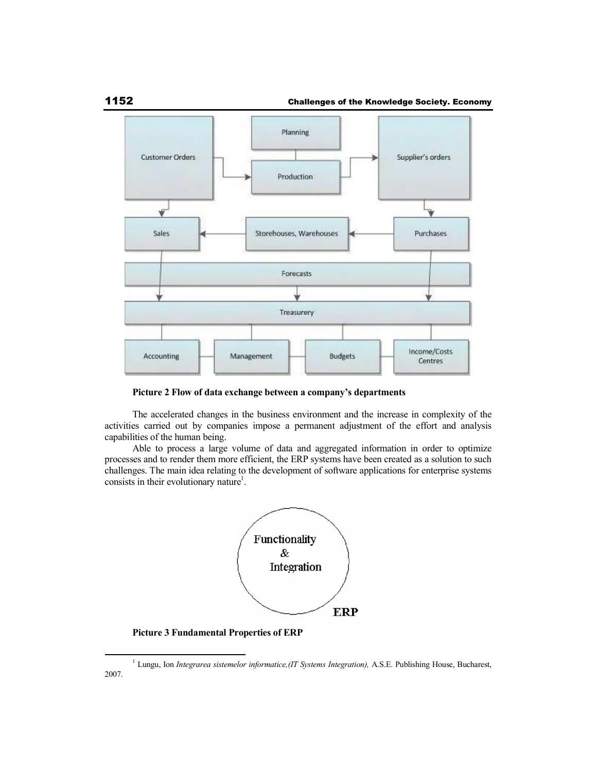

**Picture 2 Flow of data exchange between a company's departments** 

The accelerated changes in the business environment and the increase in complexity of the activities carried out by companies impose a permanent adjustment of the effort and analysis capabilities of the human being.

Able to process a large volume of data and aggregated information in order to optimize processes and to render them more efficient, the ERP systems have been created as a solution to such challenges. The main idea relating to the development of software applications for enterprise systems consists in their evolutionary nature<sup>1</sup>.



**Picture 3 Fundamental Properties of ERP** 

<sup>&</sup>lt;sup>1</sup> Lungu, Ion *Integrarea sistemelor informatice, (IT Systems Integration), A.S.E. Publishing House, Bucharest,* 2007.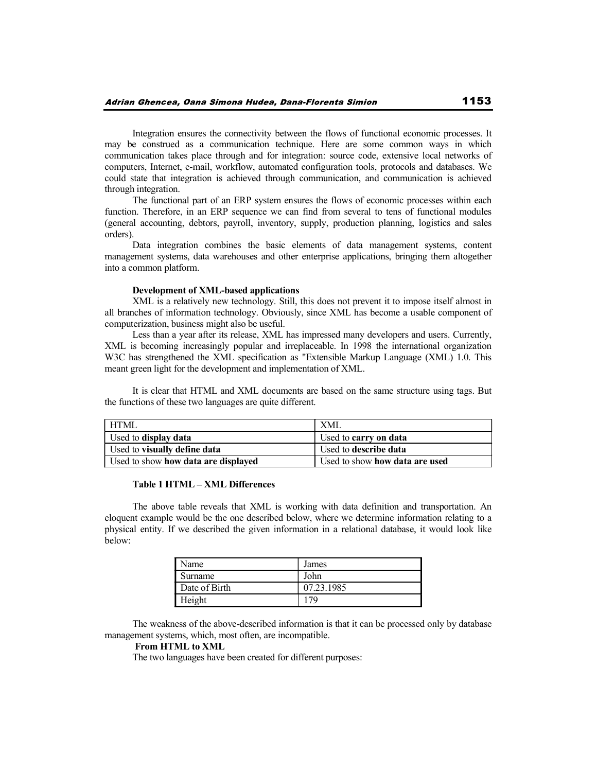Integration ensures the connectivity between the flows of functional economic processes. It may be construed as a communication technique. Here are some common ways in which communication takes place through and for integration: source code, extensive local networks of computers, Internet, e-mail, workflow, automated configuration tools, protocols and databases. We could state that integration is achieved through communication, and communication is achieved through integration.

The functional part of an ERP system ensures the flows of economic processes within each function. Therefore, in an ERP sequence we can find from several to tens of functional modules (general accounting, debtors, payroll, inventory, supply, production planning, logistics and sales orders).

Data integration combines the basic elements of data management systems, content management systems, data warehouses and other enterprise applications, bringing them altogether into a common platform.

#### **Development of XML-based applications**

XML is a relatively new technology. Still, this does not prevent it to impose itself almost in all branches of information technology. Obviously, since XML has become a usable component of computerization, business might also be useful.

Less than a year after its release, XML has impressed many developers and users. Currently, XML is becoming increasingly popular and irreplaceable. In 1998 the international organization W3C has strengthened the XML specification as "Extensible Markup Language (XML) 1.0. This meant green light for the development and implementation of XML.

It is clear that HTML and XML documents are based on the same structure using tags. But the functions of these two languages are quite different.

| HTML                                | XML                                   |
|-------------------------------------|---------------------------------------|
| Used to display data                | Used to carry on data                 |
| Used to visually define data        | Used to describe data                 |
| Used to show how data are displayed | Used to show <b>how data are used</b> |

### **Table 1 HTML – XML Differences**

The above table reveals that XML is working with data definition and transportation. An eloquent example would be the one described below, where we determine information relating to a physical entity. If we described the given information in a relational database, it would look like below:

| Name          | James      |
|---------------|------------|
| Surname       | John       |
| Date of Birth | 07.23.1985 |
| Height        | 70         |

The weakness of the above-described information is that it can be processed only by database management systems, which, most often, are incompatible.

#### **From HTML to XML**

The two languages have been created for different purposes: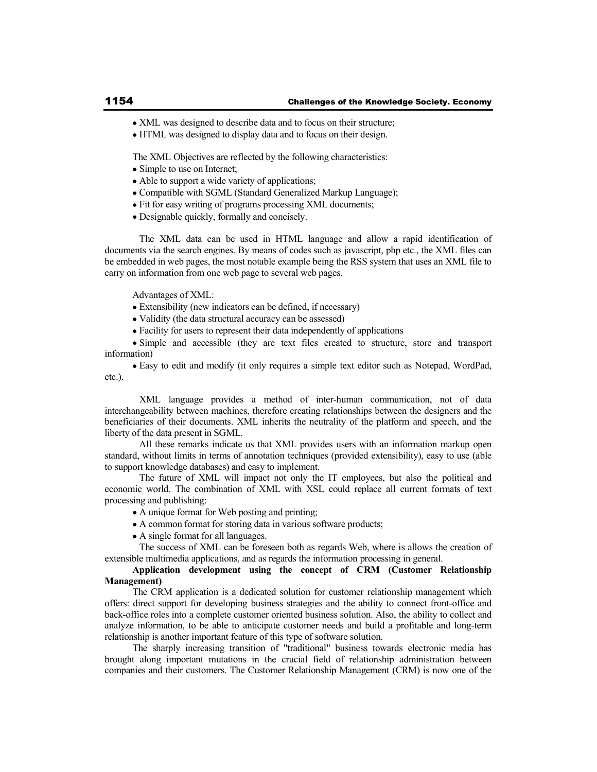- XML was designed to describe data and to focus on their structure;
- HTML was designed to display data and to focus on their design.

The XML Objectives are reflected by the following characteristics:

- Simple to use on Internet;
- Able to support a wide variety of applications;
- Compatible with SGML (Standard Generalized Markup Language);
- Fit for easy writing of programs processing XML documents;
- Designable quickly, formally and concisely.

 The XML data can be used in HTML language and allow a rapid identification of documents via the search engines. By means of codes such as javascript, php etc., the XML files can be embedded in web pages, the most notable example being the RSS system that uses an XML file to carry on information from one web page to several web pages.

Advantages of XML:

- Extensibility (new indicators can be defined, if necessary)
- Validity (the data structural accuracy can be assessed)
- Facility for users to represent their data independently of applications

Simple and accessible (they are text files created to structure, store and transport information)

Easy to edit and modify (it only requires a simple text editor such as Notepad, WordPad, etc.).

 XML language provides a method of inter-human communication, not of data interchangeability between machines, therefore creating relationships between the designers and the beneficiaries of their documents. XML inherits the neutrality of the platform and speech, and the liberty of the data present in SGML.

 All these remarks indicate us that XML provides users with an information markup open standard, without limits in terms of annotation techniques (provided extensibility), easy to use (able to support knowledge databases) and easy to implement.

 The future of XML will impact not only the IT employees, but also the political and economic world. The combination of XML with XSL could replace all current formats of text processing and publishing:

- A unique format for Web posting and printing;
- A common format for storing data in various software products;
- A single format for all languages.

 The success of XML can be foreseen both as regards Web, where is allows the creation of extensible multimedia applications, and as regards the information processing in general.

## **Application development using the concept of CRM (Customer Relationship Management)**

The CRM application is a dedicated solution for customer relationship management which offers: direct support for developing business strategies and the ability to connect front-office and back-office roles into a complete customer oriented business solution. Also, the ability to collect and analyze information, to be able to anticipate customer needs and build a profitable and long-term relationship is another important feature of this type of software solution.

The sharply increasing transition of "traditional" business towards electronic media has brought along important mutations in the crucial field of relationship administration between companies and their customers. The Customer Relationship Management (CRM) is now one of the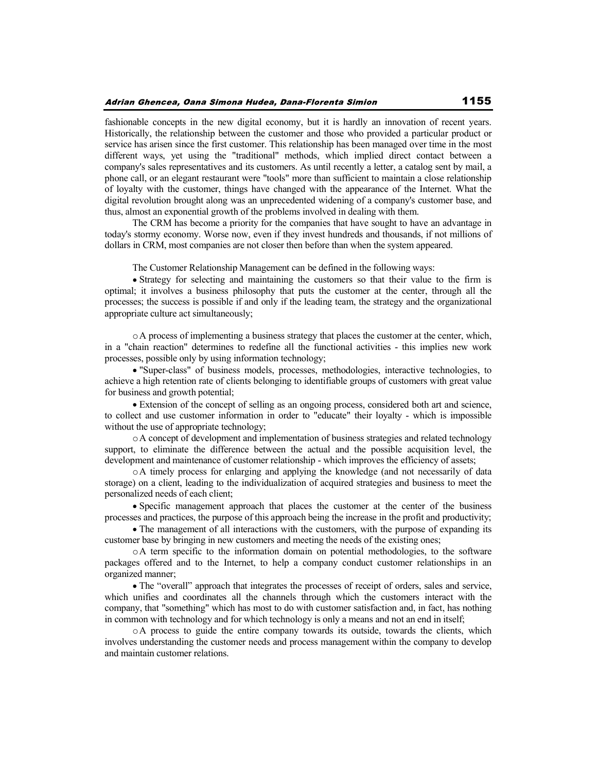fashionable concepts in the new digital economy, but it is hardly an innovation of recent years. Historically, the relationship between the customer and those who provided a particular product or service has arisen since the first customer. This relationship has been managed over time in the most different ways, yet using the "traditional" methods, which implied direct contact between a company's sales representatives and its customers. As until recently a letter, a catalog sent by mail, a phone call, or an elegant restaurant were "tools" more than sufficient to maintain a close relationship of loyalty with the customer, things have changed with the appearance of the Internet. What the digital revolution brought along was an unprecedented widening of a company's customer base, and thus, almost an exponential growth of the problems involved in dealing with them.

The CRM has become a priority for the companies that have sought to have an advantage in today's stormy economy. Worse now, even if they invest hundreds and thousands, if not millions of dollars in CRM, most companies are not closer then before than when the system appeared.

The Customer Relationship Management can be defined in the following ways:

Strategy for selecting and maintaining the customers so that their value to the firm is optimal; it involves a business philosophy that puts the customer at the center, through all the processes; the success is possible if and only if the leading team, the strategy and the organizational appropriate culture act simultaneously;

oA process of implementing a business strategy that places the customer at the center, which, in a "chain reaction" determines to redefine all the functional activities - this implies new work processes, possible only by using information technology;

"Super-class" of business models, processes, methodologies, interactive technologies, to achieve a high retention rate of clients belonging to identifiable groups of customers with great value for business and growth potential;

Extension of the concept of selling as an ongoing process, considered both art and science, to collect and use customer information in order to "educate" their loyalty - which is impossible without the use of appropriate technology;

oA concept of development and implementation of business strategies and related technology support, to eliminate the difference between the actual and the possible acquisition level, the development and maintenance of customer relationship - which improves the efficiency of assets;

oA timely process for enlarging and applying the knowledge (and not necessarily of data storage) on a client, leading to the individualization of acquired strategies and business to meet the personalized needs of each client;

Specific management approach that places the customer at the center of the business processes and practices, the purpose of this approach being the increase in the profit and productivity;

The management of all interactions with the customers, with the purpose of expanding its customer base by bringing in new customers and meeting the needs of the existing ones;

oA term specific to the information domain on potential methodologies, to the software packages offered and to the Internet, to help a company conduct customer relationships in an organized manner;

The "overall" approach that integrates the processes of receipt of orders, sales and service, which unifies and coordinates all the channels through which the customers interact with the company, that "something" which has most to do with customer satisfaction and, in fact, has nothing in common with technology and for which technology is only a means and not an end in itself;

oA process to guide the entire company towards its outside, towards the clients, which involves understanding the customer needs and process management within the company to develop and maintain customer relations.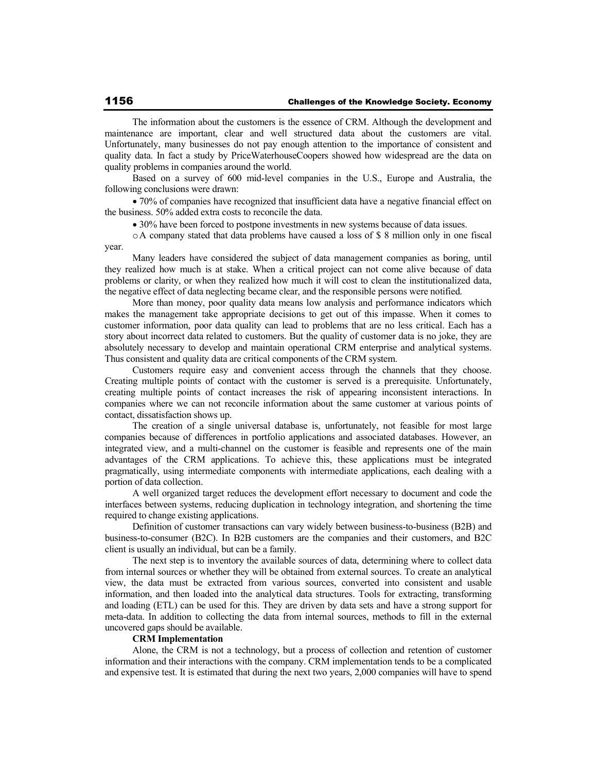The information about the customers is the essence of CRM. Although the development and maintenance are important, clear and well structured data about the customers are vital. Unfortunately, many businesses do not pay enough attention to the importance of consistent and quality data. In fact a study by PriceWaterhouseCoopers showed how widespread are the data on quality problems in companies around the world.

Based on a survey of 600 mid-level companies in the U.S., Europe and Australia, the following conclusions were drawn:

70% of companies have recognized that insufficient data have a negative financial effect on the business. 50% added extra costs to reconcile the data.

• 30% have been forced to postpone investments in new systems because of data issues.

oA company stated that data problems have caused a loss of \$ 8 million only in one fiscal year.

Many leaders have considered the subject of data management companies as boring, until they realized how much is at stake. When a critical project can not come alive because of data problems or clarity, or when they realized how much it will cost to clean the institutionalized data, the negative effect of data neglecting became clear, and the responsible persons were notified.

More than money, poor quality data means low analysis and performance indicators which makes the management take appropriate decisions to get out of this impasse. When it comes to customer information, poor data quality can lead to problems that are no less critical. Each has a story about incorrect data related to customers. But the quality of customer data is no joke, they are absolutely necessary to develop and maintain operational CRM enterprise and analytical systems. Thus consistent and quality data are critical components of the CRM system.

Customers require easy and convenient access through the channels that they choose. Creating multiple points of contact with the customer is served is a prerequisite. Unfortunately, creating multiple points of contact increases the risk of appearing inconsistent interactions. In companies where we can not reconcile information about the same customer at various points of contact, dissatisfaction shows up.

The creation of a single universal database is, unfortunately, not feasible for most large companies because of differences in portfolio applications and associated databases. However, an integrated view, and a multi-channel on the customer is feasible and represents one of the main advantages of the CRM applications. To achieve this, these applications must be integrated pragmatically, using intermediate components with intermediate applications, each dealing with a portion of data collection.

A well organized target reduces the development effort necessary to document and code the interfaces between systems, reducing duplication in technology integration, and shortening the time required to change existing applications.

Definition of customer transactions can vary widely between business-to-business (B2B) and business-to-consumer (B2C). In B2B customers are the companies and their customers, and B2C client is usually an individual, but can be a family.

The next step is to inventory the available sources of data, determining where to collect data from internal sources or whether they will be obtained from external sources. To create an analytical view, the data must be extracted from various sources, converted into consistent and usable information, and then loaded into the analytical data structures. Tools for extracting, transforming and loading (ETL) can be used for this. They are driven by data sets and have a strong support for meta-data. In addition to collecting the data from internal sources, methods to fill in the external uncovered gaps should be available.

#### **CRM Implementation**

Alone, the CRM is not a technology, but a process of collection and retention of customer information and their interactions with the company. CRM implementation tends to be a complicated and expensive test. It is estimated that during the next two years, 2,000 companies will have to spend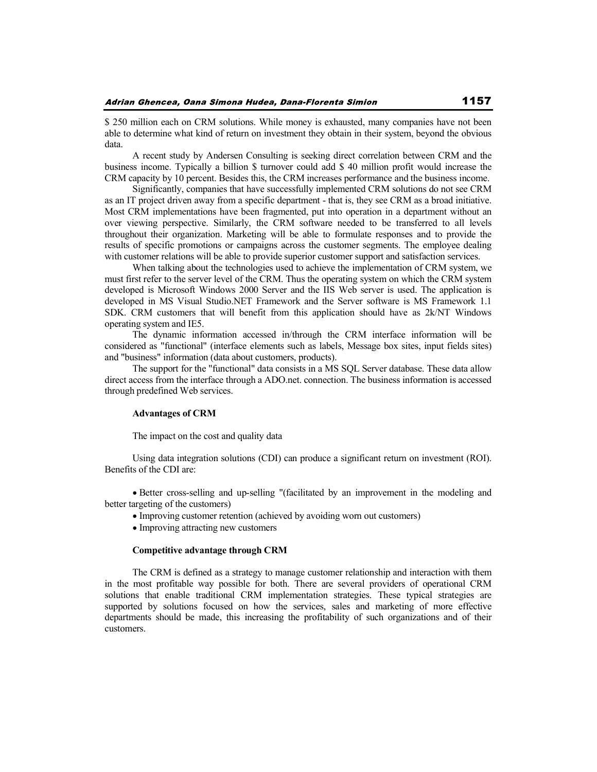\$ 250 million each on CRM solutions. While money is exhausted, many companies have not been able to determine what kind of return on investment they obtain in their system, beyond the obvious data.

A recent study by Andersen Consulting is seeking direct correlation between CRM and the business income. Typically a billion \$ turnover could add \$ 40 million profit would increase the CRM capacity by 10 percent. Besides this, the CRM increases performance and the business income.

Significantly, companies that have successfully implemented CRM solutions do not see CRM as an IT project driven away from a specific department - that is, they see CRM as a broad initiative. Most CRM implementations have been fragmented, put into operation in a department without an over viewing perspective. Similarly, the CRM software needed to be transferred to all levels throughout their organization. Marketing will be able to formulate responses and to provide the results of specific promotions or campaigns across the customer segments. The employee dealing with customer relations will be able to provide superior customer support and satisfaction services.

When talking about the technologies used to achieve the implementation of CRM system, we must first refer to the server level of the CRM. Thus the operating system on which the CRM system developed is Microsoft Windows 2000 Server and the IIS Web server is used. The application is developed in MS Visual Studio.NET Framework and the Server software is MS Framework 1.1 SDK. CRM customers that will benefit from this application should have as 2k/NT Windows operating system and IE5.

The dynamic information accessed in/through the CRM interface information will be considered as "functional" (interface elements such as labels, Message box sites, input fields sites) and "business" information (data about customers, products).

The support for the "functional" data consists in a MS SQL Server database. These data allow direct access from the interface through a ADO.net. connection. The business information is accessed through predefined Web services.

#### **Advantages of CRM**

The impact on the cost and quality data

Using data integration solutions (CDI) can produce a significant return on investment (ROI). Benefits of the CDI are:

Better cross-selling and up-selling "(facilitated by an improvement in the modeling and better targeting of the customers)

- Improving customer retention (achieved by avoiding worn out customers)
- Improving attracting new customers

### **Competitive advantage through CRM**

The CRM is defined as a strategy to manage customer relationship and interaction with them in the most profitable way possible for both. There are several providers of operational CRM solutions that enable traditional CRM implementation strategies. These typical strategies are supported by solutions focused on how the services, sales and marketing of more effective departments should be made, this increasing the profitability of such organizations and of their customers.